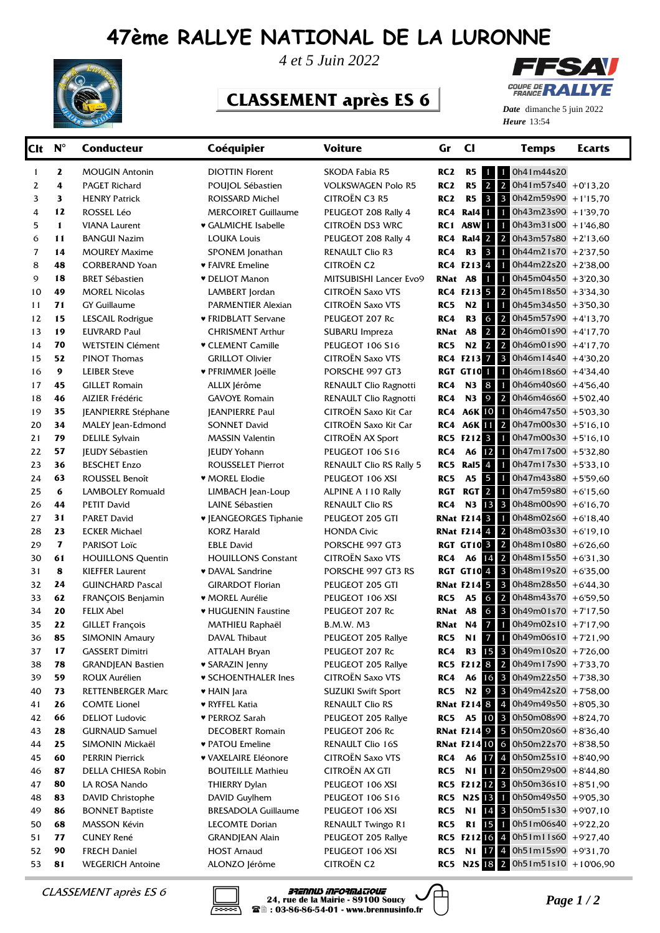## **47ème RALLYE NATIONAL DE LA LURONNE**



*4 et 5 Juin 2022*

## **CLASSEMENT après ES 6**



**Heure** 13:54 *Date* dimanche 5 juin 2022

| Clt            | $N^{\circ}$  | <b>Conducteur</b>                        | Coéquipier                          | <b>Voiture</b>                          | Gr              | <b>CI</b>                        | <b>Temps</b>                                                     | <b>Ecarts</b> |
|----------------|--------------|------------------------------------------|-------------------------------------|-----------------------------------------|-----------------|----------------------------------|------------------------------------------------------------------|---------------|
| 1              | $\mathbf{z}$ | <b>MOUGIN Antonin</b>                    | <b>DIOTTIN Florent</b>              | SKODA Fabia R5                          | RC <sub>2</sub> | R5<br>$1 -$                      | 0h41m44s20<br>$\mathbf{1}$                                       |               |
| 2              | 4            | <b>PAGET Richard</b>                     | POUJOL Sébastien                    | <b>VOLKSWAGEN Polo R5</b>               | RC <sub>2</sub> | R <sub>5</sub><br>2 <sup>1</sup> | $\overline{2}$<br>$0h41m57s40$ + 0'13,20                         |               |
| 3              | 3            | <b>HENRY Patrick</b>                     | ROISSARD Michel                     | CITROËN C3 R5                           | RC <sub>2</sub> | $3 \mid 3$<br>R <sub>5</sub>     | $0h42m59s90$ + 1'15,70                                           |               |
| 4              | 12           | ROSSEL Léo                               | <b>MERCOIRET Guillaume</b>          | PEUGEOT 208 Rally 4                     | RC4             | $\mathbf{1}$<br>Ral4             | $0h43m23s90$ + 1'39,70<br>$\mathbf{1}$                           |               |
| 5              | $\mathbf{1}$ | <b>VIANA Laurent</b>                     | ♥ GALMICHE Isabelle                 | <b>CITROËN DS3 WRC</b>                  | RC 1            | A8W<br>$\mathbf{1}$              | $\mathbf{1}$<br>$0h43m31s00 + 1'46,80$                           |               |
| 6              | 11           | <b>BANGUI Nazim</b>                      | <b>LOUKA Louis</b>                  | PEUGEOT 208 Rally 4                     | RC4             | Ral4 2 2                         | $0h43m57s80 + 2'13,60$                                           |               |
| $\overline{7}$ | 14           | <b>MOUREY Maxime</b>                     | SPONEM Jonathan                     | <b>RENAULT Clio R3</b>                  | RC4             | R3 3                             | $\mathbf{1}$<br>$0h44m21s70$ + 2'37,50                           |               |
| 8              | 48           | <b>CORBERAND Yoan</b>                    | ♥ FAIVRE Emeline                    | <b>CITROËN C2</b>                       |                 | RC4 F213 4                       | 0h44m22s20 +2'38,00<br>$\mathbf{1}$                              |               |
| 9              | 18           | <b>BRET Sébastien</b>                    | <b>v</b> DELIOT Manon               | MITSUBISHI Lancer Evo9                  | RNat A8         | $\mathbf{1}$                     | $0h45m04s50 + 3'20,30$<br>$\mathbf{1}$                           |               |
| 10             | 49           | <b>MOREL Nicolas</b>                     | LAMBERT Jordan                      | <b>CITROËN Saxo VTS</b>                 |                 | RC4 F213 5 2                     | $0h45m18s50 + 3'34,30$                                           |               |
| 11             | 71           | <b>GY Guillaume</b>                      | PARMENTIER Alexian                  | <b>CITROËN Saxo VTS</b>                 | RC5             | 1<br>N2                          | $0h45m34s50 + 3'50,30$<br>1                                      |               |
| 12             | 15           | LESCAIL Rodrigue                         | ♥ FRIDBLATT Servane                 | PEUGEOT 207 Rc                          | RC4             | $6 \mid 2$<br>R3                 | $0h45m57s90 + 4'13,70$                                           |               |
| 13             | 19           | <b>EUVRARD Paul</b>                      | <b>CHRISMENT Arthur</b>             | SUBARU Impreza                          | RNat            | $2 \mid 2$<br><b>A8</b>          | $0h46m01s90 + 4'17,70$                                           |               |
| 14             | 70           | <b>WETSTEIN Clément</b>                  | <b>v</b> CLEMENT Camille            | PEUGEOT 106 S16                         | RC5             | N2 2 2                           | $0h46m01s90 +4'17,70$                                            |               |
| 15             | 52           | <b>PINOT Thomas</b>                      | <b>GRILLOT Olivier</b>              | <b>CITROËN Saxo VTS</b>                 |                 | RC4 F213 7 3                     | $0h46m14s40 + 430,20$                                            |               |
| 16             | 9            | <b>LEIBER Steve</b>                      | ♥ PFRIMMER Joëlle                   | PORSCHE 997 GT3                         |                 | RGT GT101                        | $\mathbf{1}$<br>$0h46m18s60 + 4'34,40$                           |               |
| 17             | 45           | <b>GILLET Romain</b>                     | ALLIX Jérôme                        | RENAULT Clio Ragnotti                   | RC4             | <b>N3</b> 8                      | 0h46m40s60 +4'56,40<br>$\mathbf{1}$                              |               |
| 18             | 46           | AIZIER Frédéric                          | <b>GAVOYE Romain</b>                | RENAULT Clio Ragnotti                   | RC4             | N3 9 2                           | $0h46m46s60 + 5'02,40$                                           |               |
| 19             | 35           | JEANPIERRE Stéphane                      | <b>JEANPIERRE Paul</b>              | CITROËN Saxo Kit Car                    | RC4             | <b>A6K 10</b>                    | 1<br>0h46m47s50 +5'03,30                                         |               |
| 20             | 34           | MALEY Jean-Edmond                        | <b>SONNET David</b>                 | CITROËN Saxo Kit Car                    | RC4             | A6K 11 2                         | $0h47m00s30$ +5'16,10                                            |               |
| 21             | 79           | <b>DELILE Sylvain</b>                    | <b>MASSIN Valentin</b>              | <b>CITROËN AX Sport</b>                 |                 | RC5 F212 <sup>3</sup>            | $\mathbf{1}$<br>$0h47m00s30$ +5'16,10                            |               |
| 22             | 57           | <b>IEUDY Sébastien</b>                   | <b>JEUDY Yohann</b>                 | <b>PEUGEOT 106 S16</b>                  | RC4             | A6 12                            | $\mathbf{1}$<br>0h47m17s00 +5'32,80                              |               |
| 23             | 36           | <b>BESCHET Enzo</b>                      | <b>ROUSSELET Pierrot</b>            | <b>RENAULT Clio RS Rally 5</b>          | RC5             | Ral $5\overline{4}$              | $\mathbf{1}$<br>$0h47m17s30 + 533,10$                            |               |
| 24             | 63           | ROUSSEL Benoît                           | ♥ MOREL Elodie                      | PEUGEOT 106 XSI                         | RC5             | A5 5                             | $\mathbf{1}$<br>0h47m43s80 +5'59,60                              |               |
| 25             | 6            | LAMBOLEY Romuald                         | LIMBACH Jean-Loup                   | ALPINE A 110 Rally                      | RGT             | RGT <sub>2</sub>                 | $\mathbf{1}$<br>$0h47m59s80 + 6'15,60$                           |               |
| 26             | 44           | <b>PETIT David</b>                       | LAINE Sébastien                     | <b>RENAULT Clio RS</b>                  | RC4             | N3 13 3                          | 0h48m00s90 +6'16,70                                              |               |
| 27             | 31           | <b>PARET David</b>                       | <b>v</b> JEANGEORGES Tiphanie       | PEUGEOT 205 GTI                         |                 | <b>RNat F214 3</b>               | $\mathbf{1}$<br>$0h48m02s60 + 6'18,40$                           |               |
| 28             | 23           | <b>ECKER Michael</b>                     | KORZ Harald                         | <b>HONDA Civic</b>                      |                 | <b>RNat F214 4 2</b>             | 0h48m03s30 +6'19,10                                              |               |
| 29             | $\mathbf{7}$ | PARISOT Loïc                             | <b>EBLE David</b>                   | PORSCHE 997 GT3                         |                 | <b>RGT GT10 3 2</b>              | $0h48m10s80 + 6'26,60$                                           |               |
| 30             | 61           | <b>HOUILLONS Quentin</b>                 | <b>HOUILLONS Constant</b>           | <b>CITROËN Saxo VTS</b>                 | RC4             | A6 14 2                          | $0h48m15s50 + 6'31,30$                                           |               |
| 31             | 8            | <b>KIEFFER Laurent</b>                   | • DAVAL Sandrine                    | PORSCHE 997 GT3 RS                      |                 | <b>RGT GT10 4 3</b>              | 0h48m19s20 +6'35,00                                              |               |
| 32             | 24           | <b>GUINCHARD Pascal</b>                  | <b>GIRARDOT Florian</b>             | PEUGEOT 205 GTI                         |                 | <b>RNat F214 5 3</b>             | 0h48m28s50 +6'44,30                                              |               |
| 33             | 62           | FRANÇOIS Benjamin                        | ♥ MOREL Aurélie                     | PEUGEOT 106 XSI                         | RC5             | 6 <sup>1</sup><br><b>A5</b>      | $\overline{2}$<br>0h48m43s70 +6'59,50                            |               |
| 34             | 20           | <b>FELIX Abel</b>                        | • HUGUENIN Faustine                 | PEUGEOT 207 Rc                          | <b>RNat</b>     | $6 \mid 3 \mid$<br>A8            | $0h49m01s70 + 7'17,50$                                           |               |
| 35             | 22           | <b>GILLET François</b>                   | MATHIEU Raphaël                     | <b>B.M.W. M3</b>                        | RNat N4         | $\overline{7}$                   | $0h49m02s10 + 7'17,90$<br>$\mathbf{1}$                           |               |
| 36             | 85           | <b>SIMONIN Amaury</b>                    | DAVAL Thibaut                       | PEUGEOT 205 Rallye                      | RC5             | <b>N1</b> 7                      | 0h49m06s10 +7'21,90                                              |               |
| 37             | 17           | <b>GASSERT Dimitri</b>                   | ATTALAH Bryan                       | PEUGEOT 207 Rc                          | RC4             |                                  | R3 15 3 $0h49m10s20 + 7'26,00$                                   |               |
| 38             | 78           | <b>GRANDJEAN Bastien</b>                 | <b>v SARAZIN Jenny</b>              | PEUGEOT 205 Rallye                      |                 |                                  | RC5 F212 8 2 0h49m17s90 +7'33,70                                 |               |
| 39             | 59           | ROUX Aurélien                            | <b>v SCHOENTHALER Ines</b>          | CITROËN Saxo VTS                        | RC4             |                                  | A6 16 3 0h49m22s50 +7'38,30                                      |               |
| 40             | 73           | <b>RETTENBERGER Marc</b>                 | ♥ HAIN Jara                         | <b>SUZUKI Swift Sport</b>               | RC5             |                                  | N2 9 3 $0h49m42s20 + 7'58,00$                                    |               |
| 41             | 26           | <b>COMTE Lionel</b>                      | ♥ RYFFEL Katia                      | <b>RENAULT Clio RS</b>                  |                 |                                  | <b>RNat F214 8</b> 4 0h49m49s50 +8'05,30                         |               |
| 42             | 66           | <b>DELIOT Ludovic</b>                    | ♥ PERROZ Sarah                      | PEUGEOT 205 Rallye                      |                 |                                  | RC5 A5 10 3 0h50m08s90 +8'24,70                                  |               |
| 43             | 28           | <b>GURNAUD Samuel</b>                    | <b>DECOBERT Romain</b>              | PEUGEOT 206 Rc                          |                 |                                  | <b>RNat F214 9 5 0h50m20s60</b> +8'36,40                         |               |
| 44             | 25           | SIMONIN Mickaël                          | ♥ PATOU Emeline                     | RENAULT Clio 16S                        |                 |                                  | <b>RNat F21410 6 0h50m22s70 +8'38,50</b>                         |               |
| 45             | 60           | <b>PERRIN Pierrick</b>                   | ♥ VAXELAIRE Eléonore                | CITROËN Saxo VTS                        | RC4             |                                  | A6 $17$ 4 0h50m25s10 +8'40,90                                    |               |
| 46             | 87           | DELLA CHIESA Robin                       | BOUTEILLE Mathieu                   | CITROËN AX GTI                          | RC5             |                                  | N1 11 2 0h50m29s00 +8'44,80                                      |               |
| 47             | 80           | LA ROSA Nando                            | <b>THIERRY Dylan</b>                | PEUGEOT 106 XSI                         |                 |                                  | RC5 F212 2 3 Oh50m36s10 +8'51,90                                 |               |
| 48             | 83           | DAVID Christophe                         | DAVID Guylhem                       | <b>PEUGEOT 106 S16</b>                  |                 |                                  | RC5 N2S 13 1 0h50m49s50 +9'05,30                                 |               |
| 49             | 86           | <b>BONNET Baptiste</b>                   | <b>BRESADOLA Guillaume</b>          | PEUGEOT 106 XSI                         | RC5             |                                  | N1 $14$ 3 0h50m51s30 +9'07,10                                    |               |
| 50             | 68<br>77     | MASSON Kévin                             | LECOMTE Dorian                      | RENAULT Twingo R1<br>PEUGEOT 205 Rallye | RC5             |                                  | R1 15 1 0h51m06s40 +9'22,20<br>RC5 F212 16 4 Oh51m11s60 +9'27,40 |               |
| 51<br>52       | 90           | <b>CUNEY René</b><br><b>FRECH Daniel</b> | <b>GRANDJEAN Alain</b>              | PEUGEOT 106 XSI                         | RC5             |                                  | N1 17 4 0h51m15s90 +9'31,70                                      |               |
| 53             | 81           | <b>WEGERICH Antoine</b>                  | <b>HOST Arnaud</b><br>ALONZO Jérôme | <b>CITROËN C2</b>                       |                 |                                  | RC5 N2S 18 2 0h51m51s10 +10'06,90                                |               |
|                |              |                                          |                                     |                                         |                 |                                  |                                                                  |               |